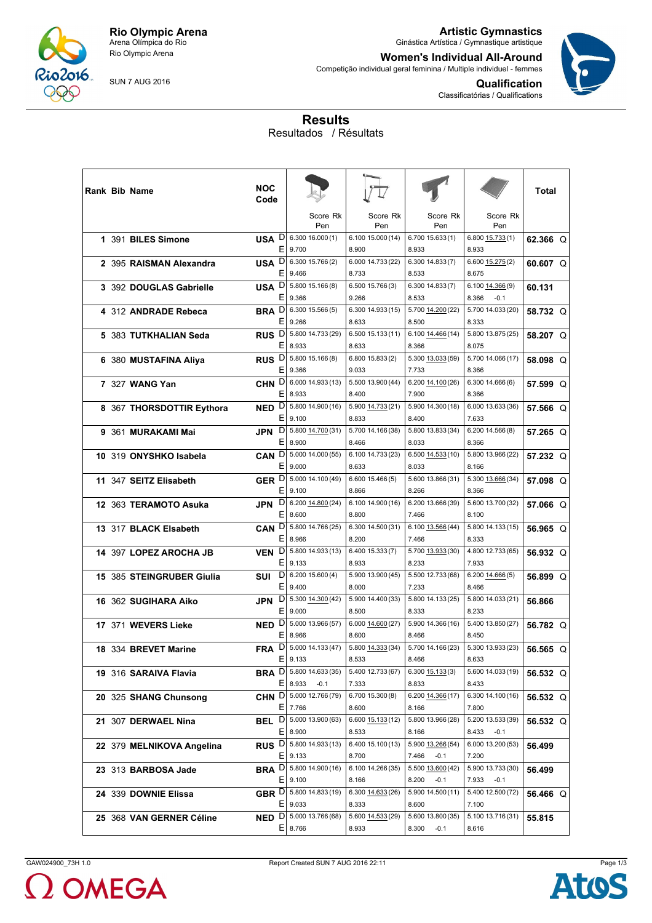

Rio Olympic Arena

SUN 7 AUG 2016

**Artistic Gymnastics** Ginástica Artística / Gymnastique artistique

**Women's Individual All-Around** Competição individual geral feminina / Multiple individuel - femmes



**Qualification** Classificatórias / Qualifications

## **Results** Resultados / Résultats

|  | Rank Bib Name             | NOC<br>Code           |                                                    |                            |                                      |                                     | Total      |
|--|---------------------------|-----------------------|----------------------------------------------------|----------------------------|--------------------------------------|-------------------------------------|------------|
|  |                           |                       | Score Rk<br>Pen                                    | Score Rk<br>Pen            | Score Rk<br>Pen                      | Score Rk<br>Pen                     |            |
|  | 1 391 BILES Simone        | Е                     | USA D 6.300 16.000 (1)<br>9.700                    | 6.100 15.000 (14)<br>8.900 | 6.700 15.633 (1)<br>8.933            | 6.800 15.733 (1)<br>8.933           | 62.366 Q   |
|  | 2 395 RAISMAN Alexandra   | USA D<br>Е            | 6.300 15.766 (2)<br>9.466                          | 6.000 14.733 (22)<br>8.733 | 6.300 14.833 (7)<br>8.533            | 6.600 15.275(2)<br>8.675            | 60.607 Q   |
|  | 3 392 DOUGLAS Gabrielle   | USA <sup>D</sup><br>Е | 5.800 15.166 (8)<br>9.366                          | 6.500 15.766 (3)<br>9.266  | 6.300 14.833 (7)<br>8.533            | 6.100 14.366 (9)<br>8.366<br>$-0.1$ | 60.131     |
|  | 4 312 ANDRADE Rebeca      | Ε                     | <b>BRA</b> D 6.300 15.566 (5)<br>9.266             | 6.300 14.933 (15)<br>8.633 | 5.700 14.200 (22)<br>8.500           | 5.700 14.033 (20)<br>8.333          | 58.732 Q   |
|  | 5 383 TUTKHALIAN Seda     | RUS <sup>D</sup><br>Ε | 5.800 14.733 (29)<br>8.933                         | 6.500 15.133 (11)<br>8.633 | 6.100 14.466 (14)<br>8.366           | 5.800 13.875 (25)<br>8.075          | 58,207 Q   |
|  | 6 380 MUSTAFINA Aliya     | RUS <sup>D</sup><br>Е | 5.800 15.166 (8)<br>9.366                          | 6.800 15.833 (2)<br>9.033  | 5.300 13.033 (59)<br>7.733           | 5.700 14.066 (17)<br>8.366          | 58.098 Q   |
|  | 7 327 WANG Yan            | CHN <sub>D</sub><br>Е | 6.000 14.933 (13)<br>8.933                         | 5.500 13.900 (44)<br>8.400 | 6.200 14.100 (26)<br>7.900           | 6.300 14.666 (6)<br>8.366           | 57.599 Q   |
|  | 8 367 THORSDOTTIR Eythora | NED <sub>D</sub><br>Е | 5.800 14.900 (16)<br>9.100                         | 5.900 14.733 (21)<br>8.833 | 5.900 14.300 (18)<br>8.400           | 6.000 13.633 (36)<br>7.633          | 57.566 Q   |
|  | 9 361 MURAKAMI Mai        | D<br>JPN<br>Е         | 5.800 14.700 (31)<br>8.900                         | 5.700 14.166 (38)<br>8.466 | 5.800 13.833 (34)<br>8.033           | 6.20014.566(8)<br>8.366             | $57.265$ O |
|  | 10 319 ONYSHKO Isabela    | CAN <sup>D</sup><br>Е | 5.000 14.000 (55)<br>9.000                         | 6.100 14.733 (23)<br>8.633 | 6.500 14.533 (10)<br>8.033           | 5.800 13.966 (22)<br>8.166          | 57.232 Q   |
|  | 11 347 SEITZ Elisabeth    | GER <sup>D</sup><br>Ε | 5.000 14.100 (49)<br>9.100                         | 6.600 15.466 (5)<br>8.866  | 5.600 13.866 (31)<br>8.266           | 5.300 13.666 (34)<br>8.366          | 57.098 Q   |
|  | 12 363 TERAMOTO Asuka     | D<br>JPN.<br>Е        | 6.200 14.800 (24)<br>8.600                         | 6.100 14.900 (16)<br>8.800 | 6.200 13.666 (39)<br>7.466           | 5.600 13.700 (32)<br>8.100          | 57.066 Q   |
|  | 13 317 BLACK Elsabeth     | CAN <sub>D</sub><br>Е | 5.800 14.766 (25)<br>8.966                         | 6.300 14.500 (31)<br>8.200 | 6.100 13.566 (44)<br>7.466           | 5.800 14.133 (15)<br>8.333          | 56.965 Q   |
|  | 14 397 LOPEZ AROCHA JB    | VEN D<br>Е            | 5.800 14.933 (13)<br>9.133                         | 6.400 15.333 (7)<br>8.933  | 5.700 13.933 (30)<br>8.233           | 4.800 12.733 (65)<br>7.933          | 56.932 Q   |
|  | 15 385 STEINGRUBER Giulia | D<br>SUI<br>Е         | 6.20015.600(4)<br>9.400                            | 5.900 13.900 (45)<br>8.000 | 5.500 12.733 (68)<br>7.233           | $6.200$ $14.666(5)$<br>8.466        | 56.899 Q   |
|  | 16 362 SUGIHARA Aiko      | D<br>JPN<br>Ε         | 5.300 14.300 (42)<br>9.000<br>5.000 13.966 (57)    | 5.900 14.400 (33)<br>8.500 | 5.800 14.133 (25)<br>8.333           | 5.800 14.033 (21)<br>8.233          | 56.866     |
|  | 17 371 WEVERS Lieke       | NED <sub>D</sub><br>Е | 8.966<br>FRA D 5.000 14.133 (47)                   | 6.000 14.600 (27)<br>8.600 | 5.900 14.366 (16)<br>8.466           | 5.400 13.850 (27)<br>8.450          | 56.782 Q   |
|  | 18 334 BREVET Marine      |                       | $E$   9.133                                        | 5.800 14.333 (34)<br>8.533 | 5.700 14.166 (23)<br>8.466           | 5.300 13.933 (23)<br>8.633          | 56.565 Q   |
|  | 19 316 SARAIVA Flavia     |                       | <b>BRA</b> D 5.800 14.633 (35)<br>$E$   8.933 -0.1 | 5.400 12.733 (67)<br>7.333 | 6.300 15.133 (3)<br>8.833            | 5.600 14.033 (19)<br>8.433          | 56.532 Q   |
|  | 20 325 SHANG Chunsong     |                       | CHN D 5.000 12.766 (79)<br>$E$   7.766             | 6.700 15.300 (8)<br>8.600  | 6.200 14.366 (17)<br>8.166           | 6.300 14.100 (16)<br>7.800          | 56.532 Q   |
|  | 21 307 DERWAEL Nina       |                       | <b>BEL</b> D 5.000 13.900 (63)<br>E 8.900          | 6.600 15.133 (12)<br>8.533 | 5.800 13.966 (28)<br>8.166           | 5.200 13.533 (39)<br>8.433 -0.1     | 56.532 Q   |
|  | 22 379 MELNIKOVA Angelina |                       | RUS D 5.800 14.933 (13)<br>$E$   9.133             | 6.400 15.100 (13)<br>8.700 | 5.900 13.266 (54)<br>7.466<br>$-0.1$ | 6.000 13.200 (53)<br>7.200          | 56.499     |
|  | 23 313 BARBOSA Jade       |                       | <b>BRA</b> D 5.800 14.900 (16)<br>$E$   9.100      | 6.100 14.266 (35)<br>8.166 | 5.500 13.600 (42)<br>8.200<br>$-0.1$ | 5.900 13.733 (30)<br>7.933 -0.1     | 56.499     |
|  | 24 339 DOWNIE Elissa      |                       | GBR D 5.800 14.833 (19)<br>$E$   9.033             | 6.300 14.633 (26)<br>8.333 | 5.900 14.500 (11)<br>8.600           | 5.400 12.500 (72)<br>7.100          | 56.466 Q   |
|  | 25 368 VAN GERNER Céline  |                       | <b>NED</b> D 5.000 13.766 (68)<br>$E$   8.766      | 5.600 14.533 (29)<br>8.933 | 5.600 13.800 (35)<br>8.300 -0.1      | 5.100 13.716 (31)<br>8.616          | 55.815     |

2 OMEGA

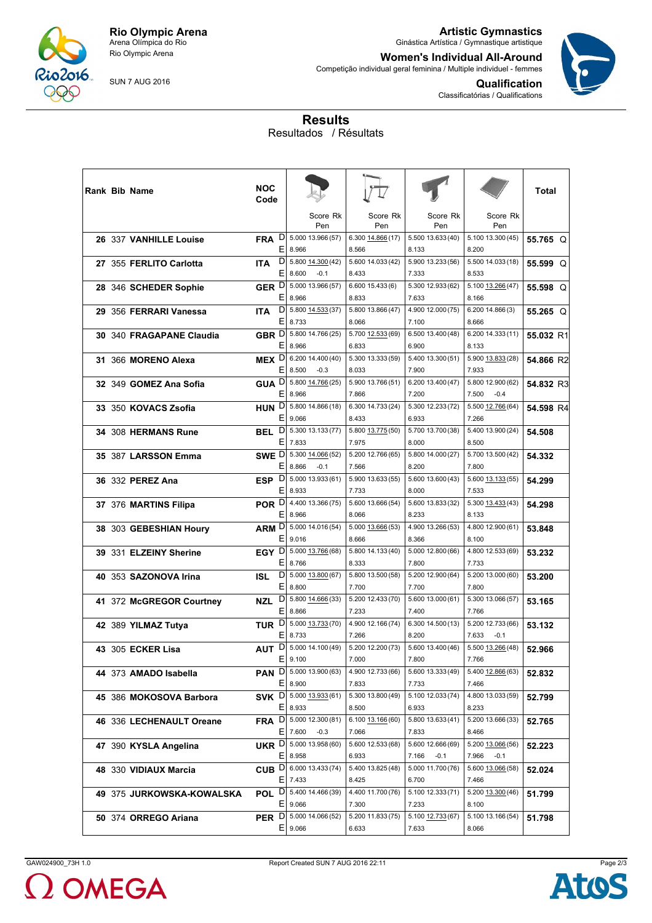

Rio Olympic Arena

SUN 7 AUG 2016

**Artistic Gymnastics** Ginástica Artística / Gymnastique artistique

**Women's Individual All-Around** Competição individual geral feminina / Multiple individuel - femmes



**Qualification** Classificatórias / Qualifications

## **Results** Resultados / Résultats

|  | Rank Bib Name             | NOC<br>Code      |        |                                                  |                            |                                      |                                      | Total      |
|--|---------------------------|------------------|--------|--------------------------------------------------|----------------------------|--------------------------------------|--------------------------------------|------------|
|  |                           |                  |        | Score Rk<br>Pen                                  | Score Rk<br>Pen            | Score Rk<br>Pen                      | Score Rk<br>Pen                      |            |
|  | 26 337 VANHILLE Louise    | <b>FRA</b>       | D<br>Е | 5.000 13.966 (57)<br>8.966                       | 6.300 14.866 (17)<br>8.566 | 5.500 13.633 (40)<br>8.133           | 5.100 13.300 (45)<br>8.200           | 55.765 Q   |
|  | 27 355 FERLITO Carlotta   | <b>ITA</b>       | D<br>Е | 5.800 14.300 (42)<br>8.600<br>$-0.1$             | 5.600 14.033 (42)<br>8.433 | 5.900 13.233 (56)<br>7.333           | 5.500 14.033 (18)<br>8.533           | 55.599 Q   |
|  | 28 346 SCHEDER Sophie     | GER <sup>D</sup> | E.     | 5.000 13.966 (57)<br>8.966                       | 6.600 15.433 (6)<br>8.833  | 5.300 12.933 (62)<br>7.633           | 5.100 13.266 (47)<br>8.166           | 55.598 Q   |
|  | 29 356 FERRARI Vanessa    | <b>ITA</b>       | D<br>Ε | 5.800 14.533 (37)<br>8.733                       | 5.800 13.866 (47)<br>8.066 | 4.900 12.000 (75)<br>7.100           | 6.200 14.866 (3)<br>8.666            | $55.265$ O |
|  | 30 340 FRAGAPANE Claudia  | GBR D            | Е      | 5.800 14.766 (25)<br>8.966                       | 5.700 12.533 (69)<br>6.833 | 6.500 13.400 (48)<br>6.900           | 6.200 14.333 (11)<br>8.133           | 55.032 R1  |
|  | 31 366 MORENO Alexa       | MEX <sup>D</sup> | EI     | 6.200 14.400 (40)<br>8.500<br>$-0.3$             | 5.300 13.333 (59)<br>8.033 | 5.400 13.300 (51)<br>7.900           | 5.900 13.833 (28)<br>7.933           | 54.866 R2  |
|  | 32 349 GOMEZ Ana Sofia    |                  | E.     | <b>GUA</b> D 5.800 $14.766(25)$<br>8.966         | 5.900 13.766 (51)<br>7.866 | 6.200 13.400 (47)<br>7.200           | 5.800 12.900 (62)<br>7.500<br>$-0.4$ | 54.832 R3  |
|  | 33 350 KOVACS Zsofia      | HUN <sup>D</sup> | Е      | 5.800 14.866 (18)<br>9.066                       | 6.300 14.733 (24)<br>8.433 | 5.300 12.233 (72)<br>6.933           | 5.500 12.766 (64)<br>7.266           | 54.598 R4  |
|  | 34 308 HERMANS Rune       | BEL              | ΕI     | $D$   5.300 13.133 (77)<br>7.833                 | 5.800 13.775 (50)<br>7.975 | 5.700 13.700 (38)<br>8.000           | 5.400 13.900 (24)<br>8.500           | 54.508     |
|  | 35 387 LARSSON Emma       | SWE D            | Е      | 5.300 14.066 (52)<br>8.866<br>$-0.1$             | 5.200 12.766 (65)<br>7.566 | 5.800 14.000 (27)<br>8.200           | 5.700 13.500 (42)<br>7.800           | 54.332     |
|  | 36 332 PEREZ Ana          | ESP D            | Ε      | 5.000 13.933 (61)<br>8.933                       | 5.900 13.633 (55)<br>7.733 | 5.600 13.600 (43)<br>8.000           | 5.600 13.133 (55)<br>7.533           | 54.299     |
|  | 37 376 MARTINS Filipa     | POR D            | E.     | 4.400 13.366 (75)<br>8.966                       | 5.600 13.666 (54)<br>8.066 | 5.600 13.833 (32)<br>8.233           | 5.300 13.433 (43)<br>8.133           | 54.298     |
|  | 38 303 GEBESHIAN Houry    | ARM D            | E.     | 5.000 14.016 (54)<br>9.016                       | 5.000 13.666 (53)<br>8.666 | 4.900 13.266 (53)<br>8.366           | 4.800 12.900 (61)<br>8.100           | 53,848     |
|  | 39 331 ELZEINY Sherine    | EGY D            | Е      | 5.000 13.766 (68)<br>8.766                       | 5.800 14.133 (40)<br>8.333 | 5.000 12.800 (66)<br>7.800           | 4.800 12.533 (69)<br>7.733           | 53.232     |
|  | 40 353 SAZONOVA Irina     | ISL              | EI     | $D $ 5.000 13.800 (67)<br>8.800                  | 5.800 13.500 (58)<br>7.700 | 5.200 12.900 (64)<br>7.700           | 5.200 13.000 (60)<br>7.800           | 53.200     |
|  | 41 372 McGREGOR Courtney  | NZL.             | D<br>Е | 5.800 14.666 (33)<br>8.866                       | 5.200 12.433 (70)<br>7.233 | 5.600 13.000 (61)<br>7.400           | 5.300 13.066 (57)<br>7.766           | 53.165     |
|  | 42 389 YILMAZ Tutya       | TUR <sup>D</sup> | Е      | 5.000 13.733 (70)<br>8.733                       | 4.900 12.166 (74)<br>7.266 | 6.300 14.500 (13)<br>8.200           | 5.200 12.733 (66)<br>7.633<br>$-0.1$ | 53.132     |
|  | 43 305 ECKER Lisa         |                  |        | AUT D 5.000 14.100 (49)<br>$E$ 9.100             | 5.200 12.200 (73)<br>7.000 | 5.600 13.400 (46)<br>7.800           | 5.500 13.266 (48)<br>7.766           | 52.966     |
|  | 44 373 AMADO Isabella     |                  |        | PAN D 5.000 13.900 (63)<br>$E$ 8.900             | 4.900 12.733 (66)<br>7.833 | 5.600 13.333 (49)<br>7.733           | 5.400 12.866 (63)<br>7.466           | 52.832     |
|  | 45 386 MOKOSOVA Barbora   |                  |        | SVK D 5.000 13.933 (61)<br>$E$   8.933           | 5.300 13.800 (49)<br>8.500 | 5.100 12.033 (74)<br>6.933           | 4.800 13.033 (59)<br>8.233           | 52.799     |
|  | 46 336 LECHENAULT Oreane  |                  |        | FRA D 5.000 12.300 (81)<br>$E$   7.600 -0.3      | 6.100 13.166 (60)<br>7.066 | 5.800 13.633 (41)<br>7.833           | 5.200 13.666 (33)<br>8.466           | 52.765     |
|  | 47 390 KYSLA Angelina     |                  | E.     | UKR D 5.000 13.958 (60)<br>8.958                 | 5.600 12.533 (68)<br>6.933 | 5.600 12.666 (69)<br>7.166<br>$-0.1$ | 5.200 13.066 (56)<br>7.966<br>$-0.1$ | 52.223     |
|  | 48 330 VIDIAUX Marcia     |                  |        | <b>CUB</b> $D   6.000 13.433(74)$<br>$E$   7.433 | 5.400 13.825 (48)<br>8.425 | 5.000 11.700 (76)<br>6.700           | 5.600 13.066 (58)<br>7.466           | 52.024     |
|  | 49 375 JURKOWSKA-KOWALSKA |                  |        | <b>POL</b> $D  5.400 14.466(39)$<br>$E$ 9.066    | 4.400 11.700 (76)<br>7.300 | 5.100 12.333 (71)<br>7.233           | 5.200 13.300 (46)<br>8.100           | 51.799     |
|  | 50 374 ORREGO Ariana      |                  |        | PER D 5.000 14.066 (52)<br>$E$ 9.066             | 5.200 11.833 (75)<br>6.633 | 5.100 12.733 (67)<br>7.633           | 5.100 13.166 (54)<br>8.066           | 51.798     |